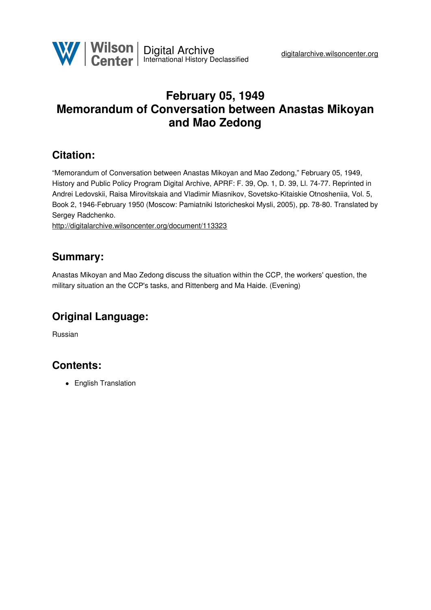

# **February 05, 1949 Memorandum of Conversation between Anastas Mikoyan and Mao Zedong**

### **Citation:**

"Memorandum of Conversation between Anastas Mikoyan and Mao Zedong," February 05, 1949, History and Public Policy Program Digital Archive, APRF: F. 39, Op. 1, D. 39, Ll. 74-77. Reprinted in Andrei Ledovskii, Raisa Mirovitskaia and Vladimir Miasnikov, Sovetsko-Kitaiskie Otnosheniia, Vol. 5, Book 2, 1946-February 1950 (Moscow: Pamiatniki Istoricheskoi Mysli, 2005), pp. 78-80. Translated by Sergey Radchenko.

<http://digitalarchive.wilsoncenter.org/document/113323>

### **Summary:**

Anastas Mikoyan and Mao Zedong discuss the situation within the CCP, the workers' question, the military situation an the CCP's tasks, and Rittenberg and Ma Haide. (Evening)

## **Original Language:**

Russian

## **Contents:**

• English Translation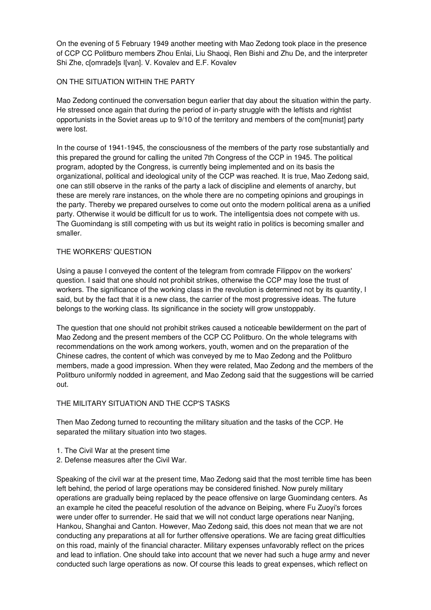On the evening of 5 February 1949 another meeting with Mao Zedong took place in the presence of CCP CC Politburo members Zhou Enlai, Liu Shaoqi, Ren Bishi and Zhu De, and the interpreter Shi Zhe, c[omrade]s I[van]. V. Kovalev and E.F. Kovalev

### ON THE SITUATION WITHIN THE PARTY

Mao Zedong continued the conversation begun earlier that day about the situation within the party. He stressed once again that during the period of in-party struggle with the leftists and rightist opportunists in the Soviet areas up to 9/10 of the territory and members of the com[munist] party were lost.

In the course of 1941-1945, the consciousness of the members of the party rose substantially and this prepared the ground for calling the united 7th Congress of the CCP in 1945. The political program, adopted by the Congress, is currently being implemented and on its basis the organizational, political and ideological unity of the CCP was reached. It is true, Mao Zedong said, one can still observe in the ranks of the party a lack of discipline and elements of anarchy, but these are merely rare instances, on the whole there are no competing opinions and groupings in the party. Thereby we prepared ourselves to come out onto the modern political arena as a unified party. Otherwise it would be difficult for us to work. The intelligentsia does not compete with us. The Guomindang is still competing with us but its weight ratio in politics is becoming smaller and smaller.

#### THE WORKERS' QUESTION

Using a pause I conveyed the content of the telegram from comrade Filippov on the workers' question. I said that one should not prohibit strikes, otherwise the CCP may lose the trust of workers. The significance of the working class in the revolution is determined not by its quantity, I said, but by the fact that it is a new class, the carrier of the most progressive ideas. The future belongs to the working class. Its significance in the society will grow unstoppably.

The question that one should not prohibit strikes caused a noticeable bewilderment on the part of Mao Zedong and the present members of the CCP CC Politburo. On the whole telegrams with recommendations on the work among workers, youth, women and on the preparation of the Chinese cadres, the content of which was conveyed by me to Mao Zedong and the Politburo members, made a good impression. When they were related, Mao Zedong and the members of the Politburo uniformly nodded in agreement, and Mao Zedong said that the suggestions will be carried out.

#### THE MILITARY SITUATION AND THE CCP'S TASKS

Then Mao Zedong turned to recounting the military situation and the tasks of the CCP. He separated the military situation into two stages.

- 1. The Civil War at the present time
- 2. Defense measures after the Civil War.

Speaking of the civil war at the present time, Mao Zedong said that the most terrible time has been left behind, the period of large operations may be considered finished. Now purely military operations are gradually being replaced by the peace offensive on large Guomindang centers. As an example he cited the peaceful resolution of the advance on Beiping, where Fu Zuoyi's forces were under offer to surrender. He said that we will not conduct large operations near Nanjing, Hankou, Shanghai and Canton. However, Mao Zedong said, this does not mean that we are not conducting any preparations at all for further offensive operations. We are facing great difficulties on this road, mainly of the financial character. Military expenses unfavorably reflect on the prices and lead to inflation. One should take into account that we never had such a huge army and never conducted such large operations as now. Of course this leads to great expenses, which reflect on